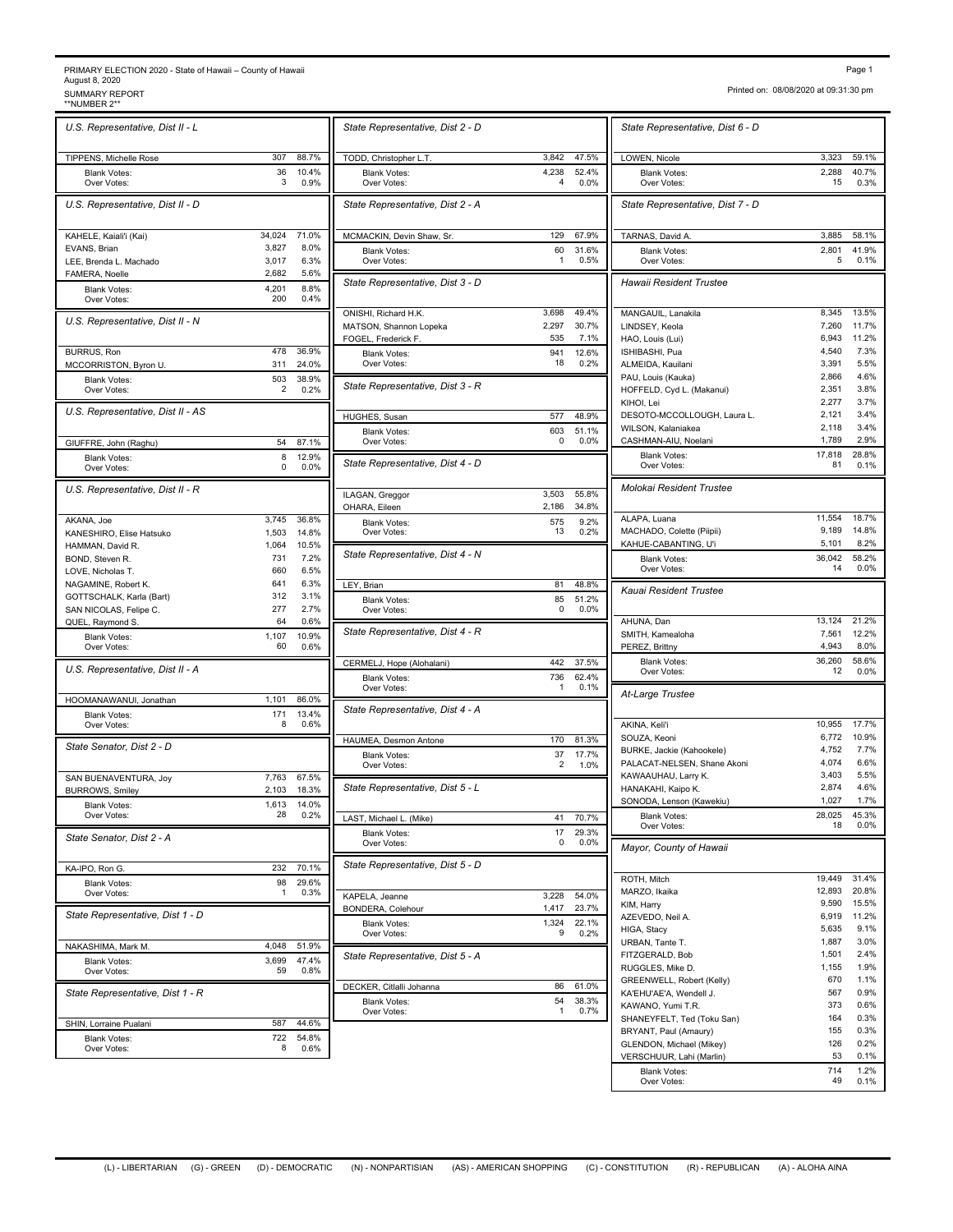## PRIMARY ELECTION 2020 - State of Hawaii – County of Hawaii<br>August 8, 2020<br>\*\*NUMBER 2\*\* SURPORT<br>\*\*NUMBER 2\*\* SURPORT

Printed on: 08/08/2020 at 09:31:30 pm

| U.S. Representative, Dist II - L     |              |               | State Representative, Dist 2                                          |
|--------------------------------------|--------------|---------------|-----------------------------------------------------------------------|
| TIPPENS, Michelle Rose               | 307          | 88.7%         | TODD, Christopher L.T.                                                |
| <b>Blank Votes:</b><br>Over Votes:   | 36<br>3      | 10.4%<br>0.9% | <b>Blank Votes:</b><br>Over Votes:                                    |
| U.S. Representative, Dist II - D     |              |               | State Representative, Dist 2                                          |
| KAHELE, Kaiali'i (Kai)               | 34,024       | 71.0%         | MCMACKIN, Devin Shaw, Sr.                                             |
| EVANS, Brian                         | 3,827        | 8.0%          | <b>Blank Votes:</b>                                                   |
| LEE, Brenda L. Machado               | 3,017        | 6.3%          | Over Votes:                                                           |
| FAMERA, Noelle                       | 2,682        | 5.6%          |                                                                       |
| <b>Blank Votes:</b><br>Over Votes:   | 4,201<br>200 | 8.8%<br>0.4%  | State Representative, Dist 3                                          |
| U.S. Representative, Dist II - N     |              |               | ONISHI, Richard H.K.<br>MATSON, Shannon Lopeka<br>FOGEL, Frederick F. |
| <b>BURRUS, Ron</b>                   | 478          | 36.9%         | <b>Blank Votes:</b>                                                   |
| MCCORRISTON, Byron U.                | 311          | 24.0%         | Over Votes:                                                           |
| <b>Blank Votes:</b><br>Over Votes:   | 503<br>2     | 38.9%<br>0.2% | State Representative, Dist 3                                          |
| U.S. Representative, Dist II - AS    |              |               | HUGHES, Susan                                                         |
|                                      |              |               | <b>Blank Votes:</b>                                                   |
| GIUFFRE, John (Raghu)                | 54           | 87.1%         | Over Votes:                                                           |
| <b>Blank Votes:</b><br>Over Votes:   | 8<br>0       | 12.9%<br>0.0% | State Representative, Dist 4                                          |
| U.S. Representative, Dist II - R     |              |               | ILAGAN, Greggor                                                       |
|                                      |              |               | OHARA, Eileen                                                         |
| AKANA, Joe                           | 3,745        | 36.8%         | <b>Blank Votes:</b>                                                   |
| KANESHIRO, Elise Hatsuko             | 1,503        | 14.8%         | Over Votes:                                                           |
| HAMMAN, David R.                     | 1,064<br>731 | 10.5%<br>7.2% | State Representative, Dist 4                                          |
| BOND, Steven R.<br>LOVE, Nicholas T. | 660          | 6.5%          |                                                                       |
| NAGAMINE, Robert K.                  | 641          | 6.3%          | LEY, Brian                                                            |
| GOTTSCHALK, Karla (Bart)             | 312          | 3.1%          | <b>Blank Votes:</b>                                                   |
| SAN NICOLAS, Felipe C.               | 277          | 2.7%          | Over Votes:                                                           |
| QUEL, Raymond S.                     | 64           | 0.6%          |                                                                       |
| <b>Blank Votes:</b><br>Over Votes:   | 1,107<br>60  | 10.9%<br>0.6% | State Representative, Dist 4                                          |
| U.S. Representative, Dist II - A     |              |               | CERMELJ, Hope (Alohalani)                                             |
|                                      |              |               | <b>Blank Votes:</b>                                                   |
|                                      | 1,101        | 86.0%         | Over Votes:                                                           |
| HOOMANAWANUI, Jonathan               | 171          | 13.4%         | State Representative, Dist 4                                          |
| <b>Blank Votes:</b><br>Over Votes:   | 8            | 0.6%          |                                                                       |
| State Senator, Dist 2 - D            |              |               | HAUMEA, Desmon Antone                                                 |
|                                      |              |               | <b>Blank Votes:</b><br>Over Votes:                                    |
| SAN BUENAVENTURA, Joy                | 7.763        | 67.5%         |                                                                       |
| <b>BURROWS, Smiley</b>               | 2,103        | 18.3%         | State Representative, Dist &                                          |
| <b>Blank Votes:</b><br>Over Votes:   | 1,613<br>28  | 14.0%<br>0.2% |                                                                       |
|                                      |              |               | LAST, Michael L. (Mike)                                               |
| State Senator, Dist 2 - A            |              |               | <b>Blank Votes:</b><br>Over Votes:                                    |
| KA-IPO, Ron G.                       | 232          | 70.1%         | State Representative, Dist &                                          |
| <b>Blank Votes:</b>                  | 98           | 29.6%         |                                                                       |
| Over Votes:                          | 1            | 0.3%          | KAPELA, Jeanne                                                        |
| State Representative, Dist 1 - D     |              |               | BONDERA, Colehour<br><b>Blank Votes:</b>                              |
|                                      |              |               | Over Votes:                                                           |
| NAKASHIMA, Mark M.                   | 4,048        | 51.9%         | State Representative, Dist &                                          |
| <b>Blank Votes:</b><br>Over Votes:   | 3,699<br>59  | 47.4%<br>0.8% |                                                                       |
| State Representative, Dist 1 - R     |              |               | DECKER, Citlalli Johanna                                              |
|                                      |              |               | <b>Blank Votes:</b><br>Over Votes:                                    |
| SHIN, Lorraine Pualani               | 587          | 44.6%         |                                                                       |
| Blank Votes:                         | 722          | 54.8%         |                                                                       |
| Over Votes:                          | 8            | 0.6%          |                                                                       |

| State Representative, Dist 2 - D              |                               | State Representative, Dist &                                                  |
|-----------------------------------------------|-------------------------------|-------------------------------------------------------------------------------|
| TODD, Christopher L.T.                        | 3,842<br>47.5%                | LOWEN, Nicole                                                                 |
| <b>Blank Votes:</b><br>Over Votes:            | 52.4%<br>4,238<br>0.0%<br>4   | <b>Blank Votes:</b><br>Over Votes:                                            |
| State Representative, Dist 2 - A              |                               | State Representative, Dist                                                    |
| MCMACKIN, Devin Shaw, Sr.                     | 129<br>67.9%                  | TARNAS, David A.                                                              |
| <b>Blank Votes:</b><br>Over Votes:            | 60<br>31.6%<br>1<br>0.5%      | <b>Blank Votes:</b><br>Over Votes:                                            |
| State Representative, Dist 3 - D              |                               | Hawaii Resident Trustee                                                       |
| ONISHI, Richard H.K.                          | 3,698<br>49.4%                | MANGAUIL, Lanakila                                                            |
| MATSON, Shannon Lopeka<br>FOGEL, Frederick F. | 2,297<br>30.7%<br>7.1%<br>535 | LINDSEY, Keola<br>HAO, Louis (Lui)                                            |
| <b>Blank Votes:</b><br>Over Votes:            | 12.6%<br>941<br>18<br>0.2%    | ISHIBASHI, Pua                                                                |
|                                               |                               | ALMEIDA, Kauilani<br>PAU, Louis (Kauka)                                       |
| State Representative, Dist 3 - R              |                               | HOFFELD, Cyd L. (Makanui)<br>KIHOI, Lei                                       |
| HUGHES, Susan                                 | 577<br>48.9%                  | DESOTO-MCCOLLOUGH, Laur                                                       |
| <b>Blank Votes:</b><br>Over Votes:            | 603<br>51.1%<br>0<br>0.0%     | WILSON, Kalaniakea<br>CASHMAN-AIU, Noelani                                    |
| State Representative, Dist 4 - D              |                               | <b>Blank Votes:</b><br>Over Votes:                                            |
|                                               | 55.8%                         | Molokai Resident Trustee                                                      |
| ILAGAN, Greggor<br>OHARA, Eileen              | 3,503<br>34.8%<br>2,186       |                                                                               |
| <b>Blank Votes:</b><br>Over Votes:            | 575<br>9.2%<br>0.2%<br>13     | ALAPA, Luana<br>MACHADO, Colette (Piipii)                                     |
| State Representative, Dist 4 - N              |                               | KAHUE-CABANTING, U'i                                                          |
|                                               |                               | <b>Blank Votes:</b><br>Over Votes:                                            |
| LEY, Brian                                    | 48.8%<br>81                   | Kauai Resident Trustee                                                        |
| <b>Blank Votes:</b><br>Over Votes:            | 85<br>51.2%<br>0.0%<br>0      |                                                                               |
| State Representative, Dist 4 - R              |                               | AHUNA, Dan<br>SMITH, Kamealoha<br>PEREZ, Brittny                              |
| CERMELJ, Hope (Alohalani)                     | 442<br>37.5%                  | <b>Blank Votes:</b>                                                           |
| <b>Blank Votes:</b><br>Over Votes:            | 736<br>62.4%<br>0.1%<br>1     | Over Votes:                                                                   |
| State Representative, Dist 4 - A              |                               | At-Large Trustee                                                              |
|                                               |                               | AKINA, Keli'i<br>SOUZA, Keoni                                                 |
| HAUMEA, Desmon Antone<br><b>Blank Votes:</b>  | 170<br>81.3%<br>37<br>17.7%   | BURKE, Jackie (Kahookele)                                                     |
| Over Votes:                                   | 2<br>1.0%                     | PALACAT-NELSEN, Shane Ako<br>KAWAAUHAU, Larry K.                              |
| State Representative, Dist 5 - L              |                               | HANAKAHI, Kaipo K.<br>SONODA, Lenson (Kawekiu)                                |
| LAST, Michael L. (Mike)                       | 41<br>70.7%                   | <b>Blank Votes:</b><br>Over Votes:                                            |
| <b>Blank Votes:</b><br>Over Votes:            | 17<br>29.3%<br>0<br>$0.0\%$   | Mayor, County of Hawaii                                                       |
| State Representative, Dist 5 - D              |                               | ROTH, Mitch                                                                   |
| KAPELA, Jeanne                                | 3,228<br>54.0%                | MARZO, Ikaika                                                                 |
| BONDERA, Colehour                             | 23.7%<br>1,417                | KIM, Harry<br>AZEVEDO, Neil A.                                                |
| <b>Blank Votes:</b><br>Over Votes:            | 1,324<br>22.1%<br>0.2%<br>9   | HIGA, Stacy                                                                   |
| State Representative, Dist 5 - A              |                               | URBAN, Tante T.<br>FITZGERALD, Bob                                            |
|                                               |                               | RUGGLES, Mike D.                                                              |
| DECKER, Citlalli Johanna                      | 86<br>61.0%                   | GREENWELL, Robert (Kelly)<br>KA'EHU'AE'A, Wendell J.                          |
| <b>Blank Votes:</b><br>Over Votes:            | 54<br>38.3%<br>1<br>0.7%      | KAWANO, Yumi T.R.                                                             |
|                                               |                               | SHANEYFELT, Ted (Toku San)<br>BRYANT, Paul (Amaury)<br>ENDONI Michael (Mikeu) |

| State Representative, Dist 6 - D                  |                |                |
|---------------------------------------------------|----------------|----------------|
|                                                   |                |                |
| LOWEN, Nicole                                     | 3,323          | 59.1%          |
| <b>Blank Votes:</b><br>Over Votes:                | 2,288<br>15    | 40.7%<br>0.3%  |
| State Representative, Dist 7 - D                  |                |                |
| TARNAS, David A.                                  | 3,885          | 58.1%          |
| <b>Blank Votes:</b><br>Over Votes:                | 2,801<br>5     | 41.9%<br>0.1%  |
| Hawaii Resident Trustee                           |                |                |
| MANGAUIL, Lanakila                                | 8,345          | 13.5%          |
| LINDSEY, Keola                                    | 7,260          | 11.7%          |
| HAO, Louis (Lui)                                  | 6,943          | 11.2%          |
| ISHIBASHI, Pua                                    | 4,540          | 7.3%           |
| ALMEIDA, Kauilani                                 | 3,391<br>2,866 | 5.5%<br>4.6%   |
| PAU, Louis (Kauka)<br>HOFFELD, Cyd L. (Makanui)   | 2,351          | 3.8%           |
| KIHOI, Lei                                        | 2,277          | 3.7%           |
| DESOTO-MCCOLLOUGH, Laura L.                       | 2,121          | 3.4%           |
| WILSON, Kalaniakea                                | 2,118          | 3.4%           |
| CASHMAN-AIU, Noelani                              | 1,789          | 2.9%           |
| <b>Blank Votes:</b><br>Over Votes:                | 17,818<br>81   | 28.8%<br>0.1%  |
| Molokai Resident Trustee                          |                |                |
|                                                   |                |                |
| ALAPA, Luana                                      | 11,554         | 18.7%<br>14.8% |
| MACHADO, Colette (Piipii)<br>KAHUE-CABANTING, U'i | 9,189<br>5,101 | 8.2%           |
| <b>Blank Votes:</b>                               | 36,042<br>14   | 58.2%<br>0.0%  |
| Over Votes:<br>Kauai Resident Trustee             |                |                |
|                                                   |                |                |
| AHUNA, Dan                                        | 13,124         | 21.2%          |
| SMITH, Kamealoha                                  | 7,561          | 12.2%          |
| PEREZ, Brittny                                    | 4,943          | 8.0%           |
| <b>Blank Votes:</b><br>Over Votes:                | 36,260<br>12   | 58.6%<br>0.0%  |
| At-Large Trustee                                  |                |                |
| AKINA, Keli'i                                     | 10,955         | 17.7%          |
| SOUZA, Keoni                                      | 6,772          | 10.9%          |
| BURKE, Jackie (Kahookele)                         | 4,752          | 7.7%           |
| PALACAT-NELSEN, Shane Akoni                       | 4,074          | 6.6%           |
| KAWAAUHAU, Larry K.                               | 3,403          | 5.5%           |
| HANAKAHI, Kaipo K.                                | 2,874          | 4.6%           |
| SONODA, Lenson (Kawekiu)                          | 1,027          | 1.7%           |
| <b>Blank Votes:</b><br>Over Votes:                | 28,025<br>18   | 45.3%<br>0.0%  |
| Mayor, County of Hawaii                           |                |                |
| ROTH, Mitch                                       | 19,449         | 31.4%          |
| MARZO, Ikaika                                     | 12,893         | 20.8%          |
| KIM, Harry                                        | 9,590          | 15.5%          |
| AZEVEDO, Neil A.                                  | 6,919          | 11.2%          |
| HIGA, Stacy                                       | 5,635          | 9.1%           |
| URBAN, Tante T.                                   | 1,887          | 3.0%           |
| FITZGERALD, Bob                                   | 1,501          | 2.4%<br>1.9%   |
| RUGGLES, Mike D.<br>GREENWELL, Robert (Kelly)     | 1,155<br>670   | 1.1%           |
| KA'EHU'AE'A, Wendell J.                           | 567            | 0.9%           |
| KAWANO, Yumi T.R.                                 | 373            | 0.6%           |
| SHANEYFELT, Ted (Toku San)                        | 164            | 0.3%           |
| BRYANT, Paul (Amaury)                             | 155            | 0.3%           |
| GLENDON, Michael (Mikey)                          | 126            | $0.2\%$        |
| VERSCHUUR, Lahi (Marlin)                          | 53             | 0.1%           |
| <b>Blank Votes:</b>                               | 714            | 1.2%           |
| Over Votes:                                       | 49             | 0.1%           |